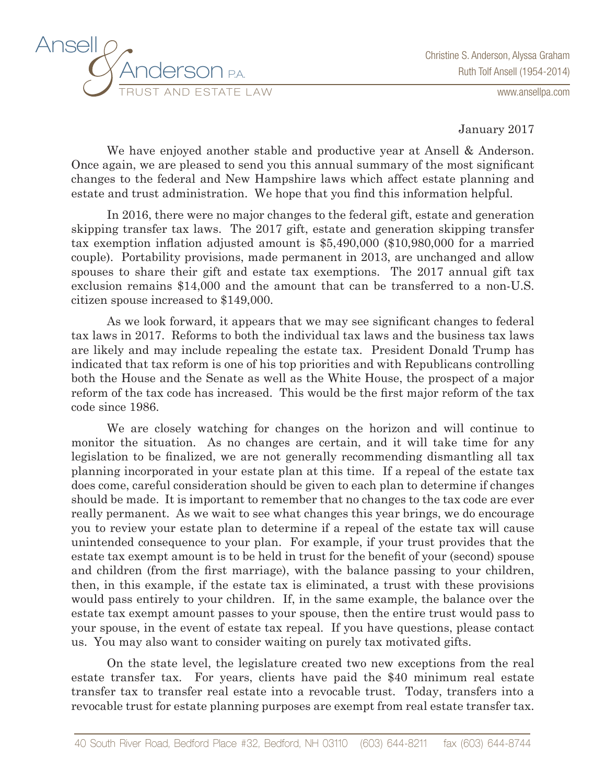

www.ansellpa.com

January 2017

We have enjoyed another stable and productive year at Ansell & Anderson. Once again, we are pleased to send you this annual summary of the most significant changes to the federal and New Hampshire laws which affect estate planning and estate and trust administration. We hope that you find this information helpful.

In 2016, there were no major changes to the federal gift, estate and generation skipping transfer tax laws. The 2017 gift, estate and generation skipping transfer tax exemption inflation adjusted amount is \$5,490,000 (\$10,980,000 for a married couple). Portability provisions, made permanent in 2013, are unchanged and allow spouses to share their gift and estate tax exemptions. The 2017 annual gift tax exclusion remains \$14,000 and the amount that can be transferred to a non-U.S. citizen spouse increased to \$149,000.

As we look forward, it appears that we may see significant changes to federal tax laws in 2017. Reforms to both the individual tax laws and the business tax laws are likely and may include repealing the estate tax. President Donald Trump has indicated that tax reform is one of his top priorities and with Republicans controlling both the House and the Senate as well as the White House, the prospect of a major reform of the tax code has increased. This would be the first major reform of the tax code since 1986.

We are closely watching for changes on the horizon and will continue to monitor the situation. As no changes are certain, and it will take time for any legislation to be finalized, we are not generally recommending dismantling all tax planning incorporated in your estate plan at this time. If a repeal of the estate tax does come, careful consideration should be given to each plan to determine if changes should be made. It is important to remember that no changes to the tax code are ever really permanent. As we wait to see what changes this year brings, we do encourage you to review your estate plan to determine if a repeal of the estate tax will cause unintended consequence to your plan. For example, if your trust provides that the estate tax exempt amount is to be held in trust for the benefit of your (second) spouse and children (from the first marriage), with the balance passing to your children, then, in this example, if the estate tax is eliminated, a trust with these provisions would pass entirely to your children. If, in the same example, the balance over the estate tax exempt amount passes to your spouse, then the entire trust would pass to your spouse, in the event of estate tax repeal. If you have questions, please contact us. You may also want to consider waiting on purely tax motivated gifts.

On the state level, the legislature created two new exceptions from the real estate transfer tax. For years, clients have paid the \$40 minimum real estate transfer tax to transfer real estate into a revocable trust. Today, transfers into a revocable trust for estate planning purposes are exempt from real estate transfer tax.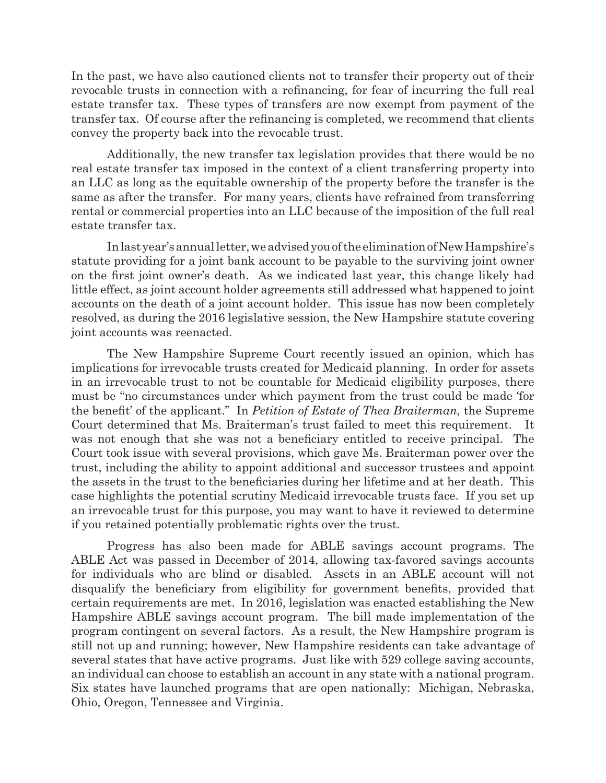In the past, we have also cautioned clients not to transfer their property out of their revocable trusts in connection with a refinancing, for fear of incurring the full real estate transfer tax. These types of transfers are now exempt from payment of the transfer tax. Of course after the refinancing is completed, we recommend that clients convey the property back into the revocable trust.

Additionally, the new transfer tax legislation provides that there would be no real estate transfer tax imposed in the context of a client transferring property into an LLC as long as the equitable ownership of the property before the transfer is the same as after the transfer. For many years, clients have refrained from transferring rental or commercial properties into an LLC because of the imposition of the full real estate transfer tax.

In last year's annual letter, we advised you of the elimination of New Hampshire's statute providing for a joint bank account to be payable to the surviving joint owner on the first joint owner's death. As we indicated last year, this change likely had little effect, as joint account holder agreements still addressed what happened to joint accounts on the death of a joint account holder. This issue has now been completely resolved, as during the 2016 legislative session, the New Hampshire statute covering joint accounts was reenacted.

The New Hampshire Supreme Court recently issued an opinion, which has implications for irrevocable trusts created for Medicaid planning. In order for assets in an irrevocable trust to not be countable for Medicaid eligibility purposes, there must be "no circumstances under which payment from the trust could be made 'for the benefit' of the applicant." In *Petition of Estate of Thea Braiterman,* the Supreme Court determined that Ms. Braiterman's trust failed to meet this requirement. It was not enough that she was not a beneficiary entitled to receive principal. The Court took issue with several provisions, which gave Ms. Braiterman power over the trust, including the ability to appoint additional and successor trustees and appoint the assets in the trust to the beneficiaries during her lifetime and at her death. This case highlights the potential scrutiny Medicaid irrevocable trusts face. If you set up an irrevocable trust for this purpose, you may want to have it reviewed to determine if you retained potentially problematic rights over the trust.

Progress has also been made for ABLE savings account programs. The ABLE Act was passed in December of 2014, allowing tax-favored savings accounts for individuals who are blind or disabled. Assets in an ABLE account will not disqualify the beneficiary from eligibility for government benefits, provided that certain requirements are met. In 2016, legislation was enacted establishing the New Hampshire ABLE savings account program. The bill made implementation of the program contingent on several factors. As a result, the New Hampshire program is still not up and running; however, New Hampshire residents can take advantage of several states that have active programs. Just like with 529 college saving accounts, an individual can choose to establish an account in any state with a national program. Six states have launched programs that are open nationally: Michigan, Nebraska, Ohio, Oregon, Tennessee and Virginia.